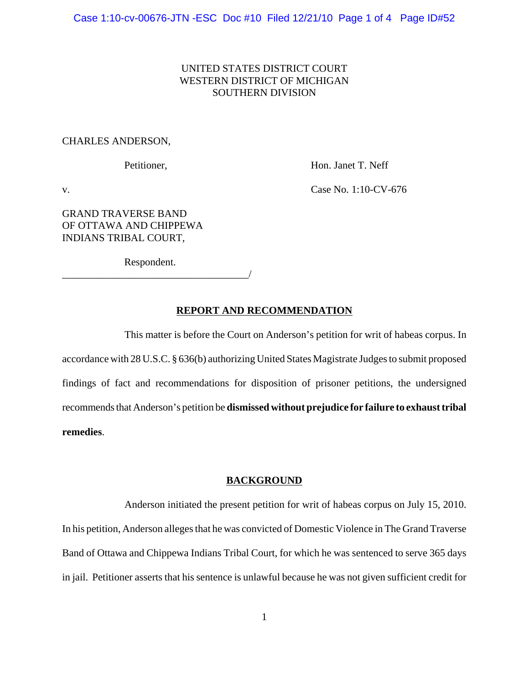## UNITED STATES DISTRICT COURT WESTERN DISTRICT OF MICHIGAN SOUTHERN DIVISION

### CHARLES ANDERSON,

Petitioner, Hon. Janet T. Neff

v. Case No. 1:10-CV-676

GRAND TRAVERSE BAND OF OTTAWA AND CHIPPEWA INDIANS TRIBAL COURT,

Respondent.

\_\_\_\_\_\_\_\_\_\_\_\_\_\_\_\_\_\_\_\_\_\_\_\_\_\_\_\_\_\_\_\_\_\_\_\_/

### **REPORT AND RECOMMENDATION**

This matter is before the Court on Anderson's petition for writ of habeas corpus. In accordance with 28 U.S.C. § 636(b) authorizing United States Magistrate Judges to submit proposed findings of fact and recommendations for disposition of prisoner petitions, the undersigned recommends that Anderson's petition be **dismissed without prejudice for failure to exhaust tribal remedies**.

#### **BACKGROUND**

Anderson initiated the present petition for writ of habeas corpus on July 15, 2010. In his petition, Anderson alleges that he was convicted of Domestic Violence in The Grand Traverse Band of Ottawa and Chippewa Indians Tribal Court, for which he was sentenced to serve 365 days in jail. Petitioner asserts that his sentence is unlawful because he was not given sufficient credit for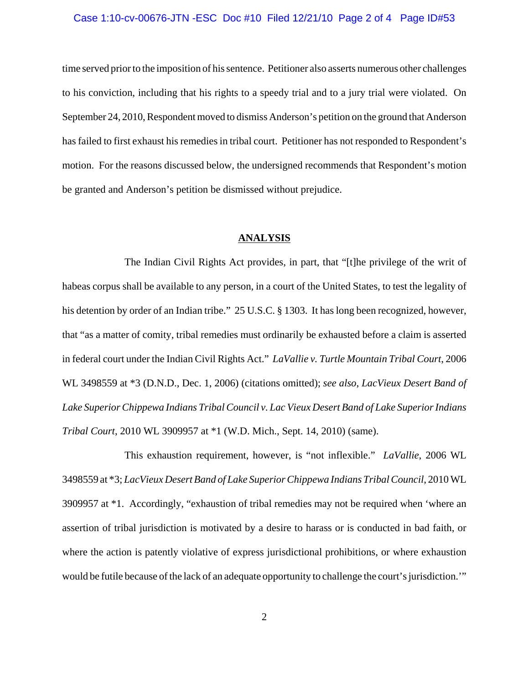## Case 1:10-cv-00676-JTN -ESC Doc #10 Filed 12/21/10 Page 2 of 4 Page ID#53

time served prior to the imposition of his sentence. Petitioner also asserts numerous other challenges to his conviction, including that his rights to a speedy trial and to a jury trial were violated. On September 24, 2010, Respondent moved to dismiss Anderson's petition on the ground that Anderson has failed to first exhaust his remedies in tribal court. Petitioner has not responded to Respondent's motion. For the reasons discussed below, the undersigned recommends that Respondent's motion be granted and Anderson's petition be dismissed without prejudice.

### **ANALYSIS**

The Indian Civil Rights Act provides, in part, that "[t]he privilege of the writ of habeas corpus shall be available to any person, in a court of the United States, to test the legality of his detention by order of an Indian tribe." 25 U.S.C. § 1303. It has long been recognized, however, that "as a matter of comity, tribal remedies must ordinarily be exhausted before a claim is asserted in federal court under the Indian Civil Rights Act." *LaVallie v. Turtle Mountain Tribal Court*, 2006 WL 3498559 at \*3 (D.N.D., Dec. 1, 2006) (citations omitted); *see also*, *LacVieux Desert Band of Lake Superior Chippewa Indians Tribal Council v. Lac Vieux Desert Band of Lake Superior Indians Tribal Court*, 2010 WL 3909957 at \*1 (W.D. Mich., Sept. 14, 2010) (same).

This exhaustion requirement, however, is "not inflexible." *LaVallie*, 2006 WL 3498559 at \*3; *LacVieux Desert Band of Lake Superior Chippewa Indians Tribal Council*, 2010 WL 3909957 at \*1. Accordingly, "exhaustion of tribal remedies may not be required when 'where an assertion of tribal jurisdiction is motivated by a desire to harass or is conducted in bad faith, or where the action is patently violative of express jurisdictional prohibitions, or where exhaustion would be futile because of the lack of an adequate opportunity to challenge the court's jurisdiction.'"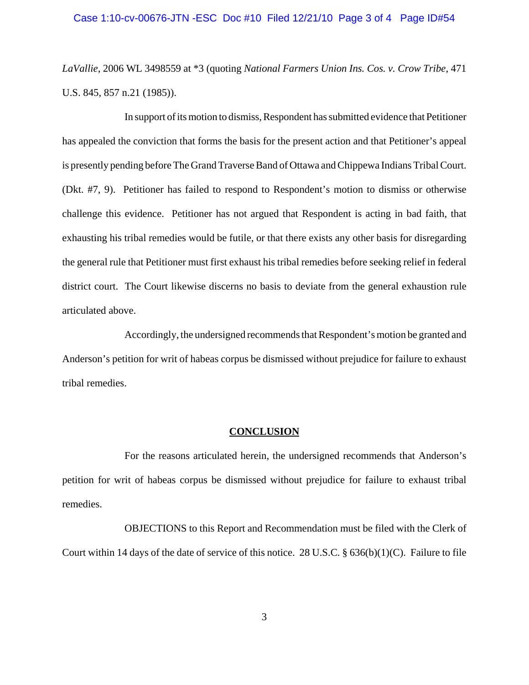### Case 1:10-cv-00676-JTN -ESC Doc #10 Filed 12/21/10 Page 3 of 4 Page ID#54

*LaVallie*, 2006 WL 3498559 at \*3 (quoting *National Farmers Union Ins. Cos. v. Crow Tribe*, 471 U.S. 845, 857 n.21 (1985)).

In support of its motion to dismiss, Respondent has submitted evidence that Petitioner has appealed the conviction that forms the basis for the present action and that Petitioner's appeal is presently pending before The Grand Traverse Band of Ottawa and Chippewa Indians Tribal Court. (Dkt. #7, 9). Petitioner has failed to respond to Respondent's motion to dismiss or otherwise challenge this evidence. Petitioner has not argued that Respondent is acting in bad faith, that exhausting his tribal remedies would be futile, or that there exists any other basis for disregarding the general rule that Petitioner must first exhaust his tribal remedies before seeking relief in federal district court. The Court likewise discerns no basis to deviate from the general exhaustion rule articulated above.

Accordingly, the undersigned recommends that Respondent's motion be granted and Anderson's petition for writ of habeas corpus be dismissed without prejudice for failure to exhaust tribal remedies.

#### **CONCLUSION**

For the reasons articulated herein, the undersigned recommends that Anderson's petition for writ of habeas corpus be dismissed without prejudice for failure to exhaust tribal remedies.

OBJECTIONS to this Report and Recommendation must be filed with the Clerk of Court within 14 days of the date of service of this notice. 28 U.S.C. § 636(b)(1)(C). Failure to file